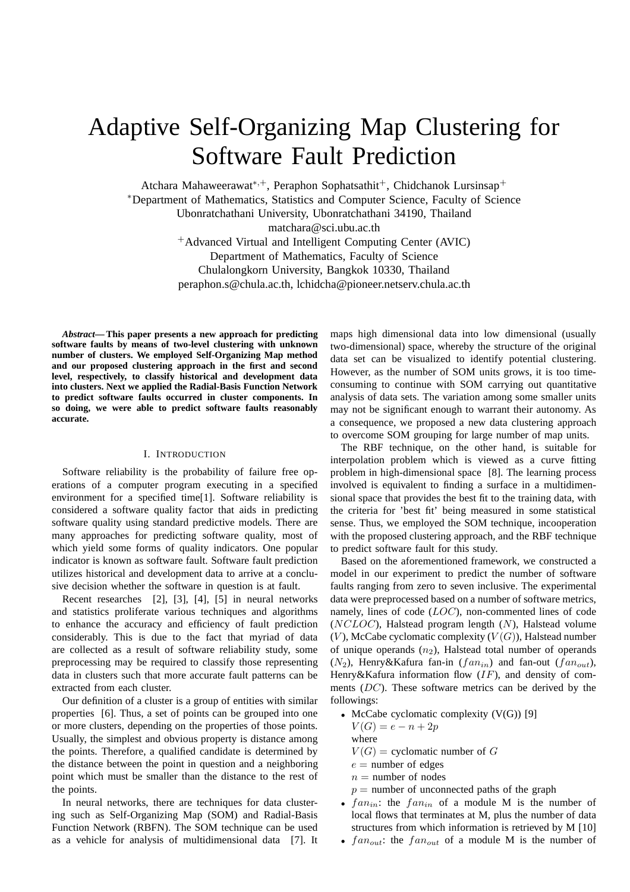# Adaptive Self-Organizing Map Clustering for Software Fault Prediction

Atchara Mahaweerawat<sup>\*,+</sup>, Peraphon Sophatsathit<sup>+</sup>, Chidchanok Lursinsap<sup>+</sup> <sup>∗</sup>Department of Mathematics, Statistics and Computer Science, Faculty of Science Ubonratchathani University, Ubonratchathani 34190, Thailand matchara@sci.ubu.ac.th <sup>+</sup>Advanced Virtual and Intelligent Computing Center (AVIC) Department of Mathematics, Faculty of Science Chulalongkorn University, Bangkok 10330, Thailand peraphon.s@chula.ac.th, lchidcha@pioneer.netserv.chula.ac.th

*Abstract***— This paper presents a new approach for predicting software faults by means of two-level clustering with unknown number of clusters. We employed Self-Organizing Map method and our proposed clustering approach in the first and second level, respectively, to classify historical and development data into clusters. Next we applied the Radial-Basis Function Network to predict software faults occurred in cluster components. In so doing, we were able to predict software faults reasonably accurate.**

### I. INTRODUCTION

Software reliability is the probability of failure free operations of a computer program executing in a specified environment for a specified time[1]. Software reliability is considered a software quality factor that aids in predicting software quality using standard predictive models. There are many approaches for predicting software quality, most of which yield some forms of quality indicators. One popular indicator is known as software fault. Software fault prediction utilizes historical and development data to arrive at a conclusive decision whether the software in question is at fault.

Recent researches [2], [3], [4], [5] in neural networks and statistics proliferate various techniques and algorithms to enhance the accuracy and efficiency of fault prediction considerably. This is due to the fact that myriad of data are collected as a result of software reliability study, some preprocessing may be required to classify those representing data in clusters such that more accurate fault patterns can be extracted from each cluster.

Our definition of a cluster is a group of entities with similar properties [6]. Thus, a set of points can be grouped into one or more clusters, depending on the properties of those points. Usually, the simplest and obvious property is distance among the points. Therefore, a qualified candidate is determined by the distance between the point in question and a neighboring point which must be smaller than the distance to the rest of the points.

In neural networks, there are techniques for data clustering such as Self-Organizing Map (SOM) and Radial-Basis Function Network (RBFN). The SOM technique can be used as a vehicle for analysis of multidimensional data [7]. It maps high dimensional data into low dimensional (usually two-dimensional) space, whereby the structure of the original data set can be visualized to identify potential clustering. However, as the number of SOM units grows, it is too timeconsuming to continue with SOM carrying out quantitative analysis of data sets. The variation among some smaller units may not be significant enough to warrant their autonomy. As a consequence, we proposed a new data clustering approach to overcome SOM grouping for large number of map units.

The RBF technique, on the other hand, is suitable for interpolation problem which is viewed as a curve fitting problem in high-dimensional space [8]. The learning process involved is equivalent to finding a surface in a multidimensional space that provides the best fit to the training data, with the criteria for 'best fit' being measured in some statistical sense. Thus, we employed the SOM technique, incooperation with the proposed clustering approach, and the RBF technique to predict software fault for this study.

Based on the aforementioned framework, we constructed a model in our experiment to predict the number of software faults ranging from zero to seven inclusive. The experimental data were preprocessed based on a number of software metrics, namely, lines of code (LOC), non-commented lines of code  $(NCLOC)$ , Halstead program length  $(N)$ , Halstead volume  $(V)$ , McCabe cyclomatic complexity  $(V(G))$ , Halstead number of unique operands  $(n_2)$ , Halstead total number of operands  $(N_2)$ , Henry&Kafura fan-in  $(fan_{in})$  and fan-out  $(fan_{out})$ , Henry&Kafura information flow  $(IF)$ , and density of comments (DC). These software metrics can be derived by the followings:

- McCabe cyclomatic complexity  $(V(G))$  [9]  $V(G) = e - n + 2p$ where
	- $V(G)$  = cyclomatic number of G
	- $e$  = number of edges
	- $n =$  number of nodes
	- $p =$  number of unconnected paths of the graph
- $fan_{in}$ : the  $fan_{in}$  of a module M is the number of local flows that terminates at M, plus the number of data structures from which information is retrieved by M [10]
- $fan_{out}$ : the  $fan_{out}$  of a module M is the number of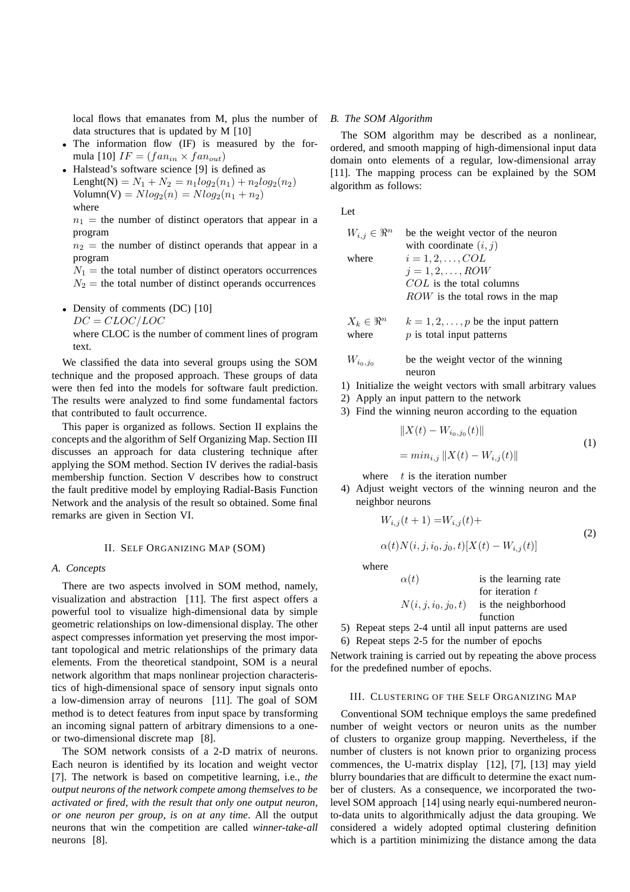local flows that emanates from M, plus the number of data structures that is updated by M [10]

- The information flow (IF) is measured by the formula [10]  $IF = (fan_{in} \times fan_{out})$
- Halstead's software science [9] is defined as Lenght(N) =  $N_1 + N_2 = n_1 log_2(n_1) + n_2 log_2(n_2)$  $Volume(V) = Nlog_2(n) = Nlog_2(n_1 + n_2)$ where

 $n_1$  = the number of distinct operators that appear in a program

 $n_2$  = the number of distinct operands that appear in a program

 $N_1$  = the total number of distinct operators occurrences  $N_2$  = the total number of distinct operands occurrences

• Density of comments (DC) [10]

 $DC = CLOC/LOC$ 

where CLOC is the number of comment lines of program text.

We classified the data into several groups using the SOM technique and the proposed approach. These groups of data were then fed into the models for software fault prediction. The results were analyzed to find some fundamental factors that contributed to fault occurrence.

This paper is organized as follows. Section II explains the concepts and the algorithm of Self Organizing Map. Section III discusses an approach for data clustering technique after applying the SOM method. Section IV derives the radial-basis membership function. Section V describes how to construct the fault preditive model by employing Radial-Basis Function Network and the analysis of the result so obtained. Some final remarks are given in Section VI.

## II. SELF ORGANIZING MAP (SOM)

# *A. Concepts*

There are two aspects involved in SOM method, namely, visualization and abstraction [11]. The first aspect offers a powerful tool to visualize high-dimensional data by simple geometric relationships on low-dimensional display. The other aspect compresses information yet preserving the most important topological and metric relationships of the primary data elements. From the theoretical standpoint, SOM is a neural network algorithm that maps nonlinear projection characteristics of high-dimensional space of sensory input signals onto a low-dimension array of neurons [11]. The goal of SOM method is to detect features from input space by transforming an incoming signal pattern of arbitrary dimensions to a oneor two-dimensional discrete map [8].

The SOM network consists of a 2-D matrix of neurons. Each neuron is identified by its location and weight vector [7]. The network is based on competitive learning, i.e., *the output neurons of the network compete among themselves to be activated or fired, with the result that only one output neuron, or one neuron per group, is on at any time*. All the output neurons that win the competition are called *winner-take-all* neurons [8].

# *B. The SOM Algorithm*

The SOM algorithm may be described as a nonlinear, ordered, and smooth mapping of high-dimensional input data domain onto elements of a regular, low-dimensional array [11]. The mapping process can be explained by the SOM algorithm as follows:

Let

| $W_{i,j} \in \Re^n$ | be the weight vector of the neuron |
|---------------------|------------------------------------|
|                     | with coordinate $(i, j)$           |
| where               | $i=1,2,\ldots,COL$                 |
|                     | $i=1,2,\ldots, ROW$                |
|                     | $COL$ is the total columns         |
|                     | $ROW$ is the total rows in the map |
|                     |                                    |

 $X_k \in \mathbb{R}^n$   $k = 1, 2, ..., p$  be the input pattern<br>where *n* is total input patterns  $p$  is total input patterns

$$
W_{i_0,j_0}
$$
 be the weight vector of the winning neuron

- 1) Initialize the weight vectors with small arbitrary values
- 2) Apply an input pattern to the network
- 3) Find the winning neuron according to the equation

$$
||X(t) - W_{i_0, j_0}(t)||
$$
  
=  $min_{i,j} ||X(t) - W_{i,j}(t)||$  (1)

where  $t$  is the iteration number

4) Adjust weight vectors of the winning neuron and the neighbor neurons

$$
W_{i,j}(t+1) = W_{i,j}(t) + \alpha(t)N(i, j, i_0, j_0, t)[X(t) - W_{i,j}(t)]
$$
\n(2)

where

$$
\alpha(t) \qquad \text{is the learning rate} \n\text{for iteration } t \nN(i, j, i_0, j_0, t) \qquad \text{is the neighborhood} \n\text{function}
$$

- 5) Repeat steps 2-4 until all input patterns are used
- 6) Repeat steps 2-5 for the number of epochs

Network training is carried out by repeating the above process for the predefined number of epochs.

## III. CLUSTERING OF THE SELF ORGANIZING MAP

Conventional SOM technique employs the same predefined number of weight vectors or neuron units as the number of clusters to organize group mapping. Nevertheless, if the number of clusters is not known prior to organizing process commences, the U-matrix display [12], [7], [13] may yield blurry boundaries that are difficult to determine the exact number of clusters. As a consequence, we incorporated the twolevel SOM approach [14] using nearly equi-numbered neuronto-data units to algorithmically adjust the data grouping. We considered a widely adopted optimal clustering definition which is a partition minimizing the distance among the data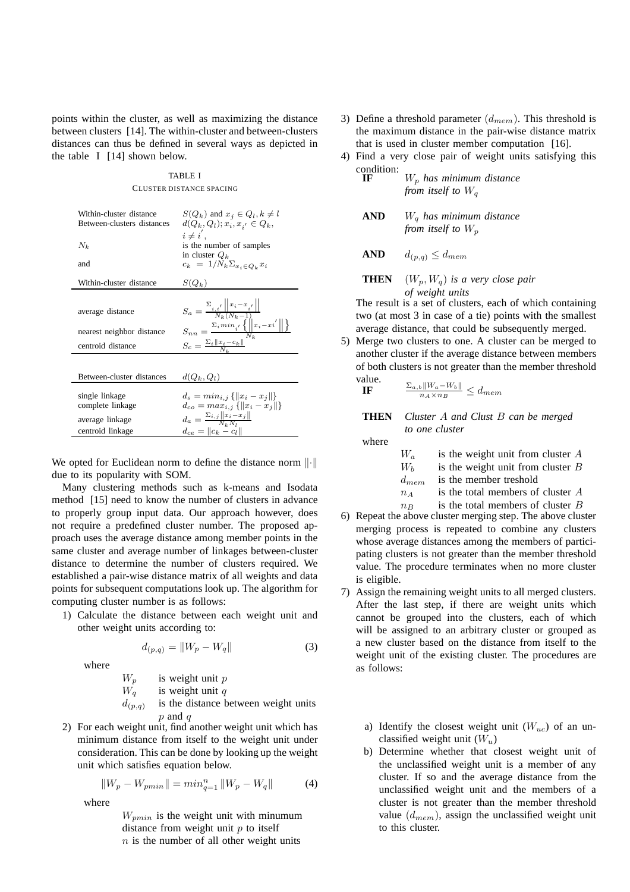points within the cluster, as well as maximizing the distance between clusters [14]. The within-cluster and between-clusters distances can thus be defined in several ways as depicted in the table I [14] shown below.

# TABLE I CLUSTER DISTANCE SPACING

| Within-cluster distance<br>Between-clusters distances<br>$N_k$<br>and     | $S(Q_k)$ and $x_j \in Q_l, k \neq l$<br>$d(Q_k, Q_l); x_i, x_{i'} \in Q_k,$<br>$i \neq i'$ .<br>is the number of samples<br>in cluster $Q_k$<br>$c_k = 1/N_k \Sigma_{x_i \in Q_k} x_i$                                        |
|---------------------------------------------------------------------------|-------------------------------------------------------------------------------------------------------------------------------------------------------------------------------------------------------------------------------|
| Within-cluster distance                                                   | $S(Q_k)$                                                                                                                                                                                                                      |
| average distance<br>nearest neighbor distance<br>centroid distance        | $S_a = \frac{\sum_{i,i'}   x_i - x_{i'}  }{N_k (N_k - 1)}$<br>$S_{nn} = \frac{\Sigma_i \min_{i^\prime} \left\{\left\ \left x_i - x i^\prime\right\  \right\}\right\}}{N_{\nu}}$<br>$S_c = \frac{\Sigma_i   x_i - c_k  }{N_k}$ |
| Between-cluster distances                                                 | $d(Q_k, Q_l)$                                                                                                                                                                                                                 |
| single linkage<br>complete linkage<br>average linkage<br>centroid linkage | $d_s = min_{i,j} \{   x_i - x_j   \}$<br>$d_{co} = max_{i,j} \{   x_i - x_j   \}$<br>$d_a = \frac{\Sigma_{i,j}   x_i - x_j  }{N_i N_i}$<br>$d_{ce} =   c_k - c_l  $                                                           |

We opted for Euclidean norm to define the distance norm  $\left\| \cdot \right\|$ due to its popularity with SOM.

Many clustering methods such as k-means and Isodata method [15] need to know the number of clusters in advance to properly group input data. Our approach however, does not require a predefined cluster number. The proposed approach uses the average distance among member points in the same cluster and average number of linkages between-cluster distance to determine the number of clusters required. We established a pair-wise distance matrix of all weights and data points for subsequent computations look up. The algorithm for computing cluster number is as follows:

1) Calculate the distance between each weight unit and other weight units according to:

$$
d_{(p,q)} = \|W_p - W_q\| \tag{3}
$$

where

 $W_p$  is weight unit p<br> $W_q$  is weight unit q is weight unit  $q$  $d_{(p,q)}$ is the distance between weight units  $p$  and  $q$ 

2) For each weight unit, find another weight unit which has minimum distance from itself to the weight unit under consideration. This can be done by looking up the weight unit which satisfies equation below.

$$
||W_p - W_{pmin}|| = min_{q=1}^n ||W_p - W_q||
$$
 (4)

where

 $W_{pmin}$  is the weight unit with minumum distance from weight unit  $p$  to itself  $n$  is the number of all other weight units

- 3) Define a threshold parameter  $(d_{mem})$ . This threshold is the maximum distance in the pair-wise distance matrix that is used in cluster member computation [16].
- 4) Find a very close pair of weight units satisfying this condition:

**IF** W<sup>p</sup> *has minimum distance from itself to* W<sup>q</sup>

**AND** W<sup>q</sup> *has minimum distance from itself to*  $W_p$ 

$$
AND \qquad d_{(p,q)} \leq d_{mem}
$$

**THEN**  $(W_p, W_q)$  *is a very close pair of weight units*

The result is a set of clusters, each of which containing two (at most 3 in case of a tie) points with the smallest average distance, that could be subsequently merged.

5) Merge two clusters to one. A cluster can be merged to another cluster if the average distance between members of both clusters is not greater than the member threshold value<br>IF

**IF** 
$$
\frac{\sum_{a,b}||W_a - W_b||}{n_A \times n_B} \leq d_{mem}
$$

**THEN** *Cluster* A *and Clust* B *can be merged to one cluster*

where

| $W_a$     | is the weight unit from cluster $A$ |
|-----------|-------------------------------------|
| $W_{h}$   | is the weight unit from cluster $B$ |
| $d_{mem}$ | is the member treshold              |
| $n_A$     | is the total members of cluster A   |
| $n_{B}$   | is the total members of cluster $B$ |

- 6) Repeat the above cluster merging step. The above cluster merging process is repeated to combine any clusters whose average distances among the members of participating clusters is not greater than the member threshold value. The procedure terminates when no more cluster is eligible.
- 7) Assign the remaining weight units to all merged clusters. After the last step, if there are weight units which cannot be grouped into the clusters, each of which will be assigned to an arbitrary cluster or grouped as a new cluster based on the distance from itself to the weight unit of the existing cluster. The procedures are as follows:
	- a) Identify the closest weight unit  $(W_{uc})$  of an unclassified weight unit  $(W_u)$
	- b) Determine whether that closest weight unit of the unclassified weight unit is a member of any cluster. If so and the average distance from the unclassified weight unit and the members of a cluster is not greater than the member threshold value  $(d_{mem})$ , assign the unclassified weight unit to this cluster.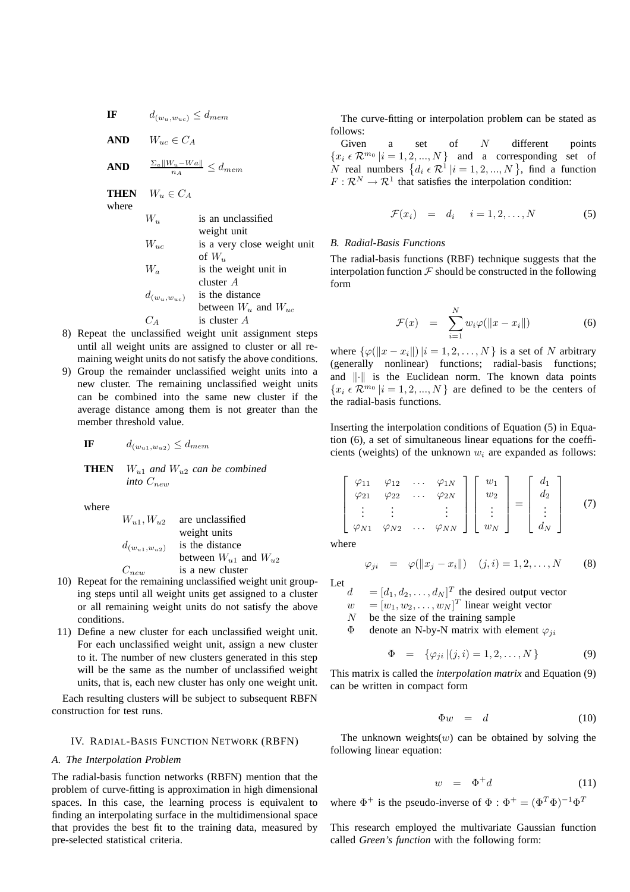**IF**  $d_{(w_u,w_{uc})} \leq d_{mem}$ 

**AND**  $W_{uc} \in C_A$ 

$$
\mathbf{AND} \qquad \tfrac{\Sigma_a \|W_u - Wa\|}{n_A} \le d_{mem}
$$

**THEN**  $W_u \in C_A$ 

where

| is an unclassified          |
|-----------------------------|
| weight unit                 |
| is a very close weight unit |
| of $W_u$                    |
| is the weight unit in       |
| cluster A                   |
| is the distance             |
| between $W_u$ and $W_{uc}$  |
| is cluster A                |
|                             |

- 8) Repeat the unclassified weight unit assignment steps until all weight units are assigned to cluster or all remaining weight units do not satisfy the above conditions.
- 9) Group the remainder unclassified weight units into a new cluster. The remaining unclassified weight units can be combined into the same new cluster if the average distance among them is not greater than the member threshold value.

$$
\mathbf{IF} \qquad d_{(w_{u1}, w_{u2})} \leq d_{mem}
$$

**THEN**  $W_{u1}$  and  $W_{u2}$  can be combined  $\int$ *into*  $C_{new}$ 

where

| $W_{u1}, W_{u2}$      | are unclassified              |
|-----------------------|-------------------------------|
|                       | weight units                  |
| $d_{(w_{u1},w_{u2})}$ | is the distance               |
|                       | between $W_{u1}$ and $W_{u2}$ |
| $C_{new}$             | is a new cluster              |

- 10) Repeat for the remaining unclassified weight unit grouping steps until all weight units get assigned to a cluster or all remaining weight units do not satisfy the above conditions.
- 11) Define a new cluster for each unclassified weight unit. For each unclassified weight unit, assign a new cluster to it. The number of new clusters generated in this step will be the same as the number of unclassified weight units, that is, each new cluster has only one weight unit.

Each resulting clusters will be subject to subsequent RBFN construction for test runs.

## IV. RADIAL-BASIS FUNCTION NETWORK (RBFN)

## *A. The Interpolation Problem*

The radial-basis function networks (RBFN) mention that the problem of curve-fitting is approximation in high dimensional spaces. In this case, the learning process is equivalent to finding an interpolating surface in the multidimensional space that provides the best fit to the training data, measured by pre-selected statistical criteria.

The curve-fitting or interpolation problem can be stated as follows:

Given a set of  $N$  different points  ${x_i \in \mathcal{R}^{m_0} \mid i = 1, 2, ..., N}$  and a corresponding set of N real numbers  $\{d_i \in \mathcal{R}^1 | i = 1, 2, ..., N\}$ , find a function  $F: \mathcal{R}^N \to \mathcal{R}^1$  that satisfies the interpolation condition:

$$
\mathcal{F}(x_i) = d_i \quad i = 1, 2, \dots, N \tag{5}
$$

# *B. Radial-Basis Functions*

The radial-basis functions (RBF) technique suggests that the interpolation function  $\mathcal F$  should be constructed in the following form

$$
\mathcal{F}(x) = \sum_{i=1}^{N} w_i \varphi(||x - x_i||) \tag{6}
$$

where  $\{\varphi(||x - x_i||) | i = 1, 2, \dots, N \}$  is a set of N arbitrary (generally nonlinear) functions; radial-basis functions; and  $\|\cdot\|$  is the Euclidean norm. The known data points  ${x_i \in \mathcal{R}^{m_0} \mid i = 1, 2, ..., N}$  are defined to be the centers of the radial-basis functions.

Inserting the interpolation conditions of Equation (5) in Equation (6), a set of simultaneous linear equations for the coefficients (weights) of the unknown  $w_i$  are expanded as follows:

$$
\begin{bmatrix}\n\varphi_{11} & \varphi_{12} & \dots & \varphi_{1N} \\
\varphi_{21} & \varphi_{22} & \dots & \varphi_{2N} \\
\vdots & \vdots & & \vdots \\
\varphi_{N1} & \varphi_{N2} & \dots & \varphi_{NN}\n\end{bmatrix}\n\begin{bmatrix}\nw_1 \\
w_2 \\
\vdots \\
w_N\n\end{bmatrix} =\n\begin{bmatrix}\nd_1 \\
d_2 \\
\vdots \\
d_N\n\end{bmatrix}
$$
\n(7)

where

$$
\varphi_{ji} = \varphi(||x_j - x_i||) \quad (j, i) = 1, 2, ..., N
$$
 (8)

Let

 $d = [d_1, d_2, \dots, d_N]^T$  the desired output vector

 $w = [w_1, w_2, \dots, w_N]^T$  linear weight vector

 $N$  be the size of the training sample

Φ denote an N-by-N matrix with element  $φ_{ji}$ 

$$
\Phi = \{\varphi_{ji} | (j, i) = 1, 2, \dots, N\}
$$
\n(9)

This matrix is called the *interpolation matrix* and Equation (9) can be written in compact form

$$
\Phi w = d \tag{10}
$$

The unknown weights(w) can be obtained by solving the following linear equation:

$$
w = \Phi^+ d \tag{11}
$$

where  $\Phi^+$  is the pseudo-inverse of  $\Phi : \Phi^+ = (\Phi^T \Phi)^{-1} \Phi^T$ 

This research employed the multivariate Gaussian function called *Green's function* with the following form: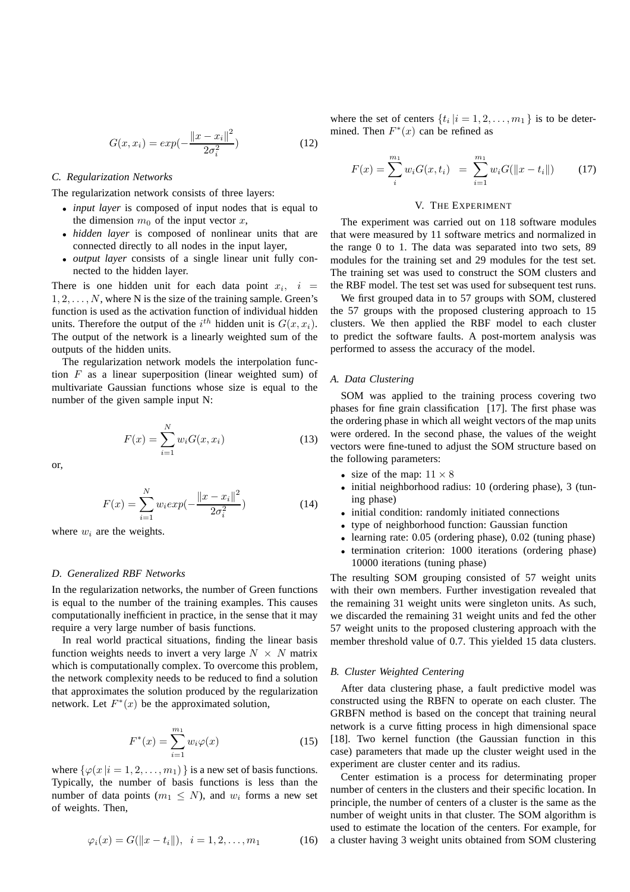$$
G(x, x_i) = exp(-\frac{\|x - x_i\|^2}{2\sigma_i^2})
$$
\n(12)

#### *C. Regularization Networks*

The regularization network consists of three layers:

- *input layer* is composed of input nodes that is equal to the dimension  $m_0$  of the input vector  $x$ ,
- *hidden layer* is composed of nonlinear units that are connected directly to all nodes in the input layer,
- *output layer* consists of a single linear unit fully connected to the hidden layer.

There is one hidden unit for each data point  $x_i$ ,  $i =$  $1, 2, \ldots, N$ , where N is the size of the training sample. Green's function is used as the activation function of individual hidden units. Therefore the output of the  $i^{th}$  hidden unit is  $G(x, x_i)$ . The output of the network is a linearly weighted sum of the outputs of the hidden units.

The regularization network models the interpolation function  $F$  as a linear superposition (linear weighted sum) of multivariate Gaussian functions whose size is equal to the number of the given sample input N:

$$
F(x) = \sum_{i=1}^{N} w_i G(x, x_i)
$$
 (13)

or,

$$
F(x) = \sum_{i=1}^{N} w_i exp(-\frac{\|x - x_i\|^2}{2\sigma_i^2})
$$
 (14)

where  $w_i$  are the weights.

# *D. Generalized RBF Networks*

In the regularization networks, the number of Green functions is equal to the number of the training examples. This causes computationally inefficient in practice, in the sense that it may require a very large number of basis functions.

In real world practical situations, finding the linear basis function weights needs to invert a very large  $N \times N$  matrix which is computationally complex. To overcome this problem, the network complexity needs to be reduced to find a solution that approximates the solution produced by the regularization network. Let  $F^*(x)$  be the approximated solution,

$$
F^*(x) = \sum_{i=1}^{m_1} w_i \varphi(x)
$$
 (15)

where  $\{\varphi(x \mid i = 1, 2, \ldots, m_1)\}\$  is a new set of basis functions. Typically, the number of basis functions is less than the number of data points  $(m_1 \leq N)$ , and  $w_i$  forms a new set of weights. Then,

$$
\varphi_i(x) = G(||x - t_i||), \ \ i = 1, 2, \dots, m_1 \tag{16}
$$

where the set of centers  $\{t_i | i = 1, 2, \dots, m_1\}$  is to be determined. Then  $F^*(x)$  can be refined as

$$
F(x) = \sum_{i}^{m_1} w_i G(x, t_i) = \sum_{i=1}^{m_1} w_i G(||x - t_i||)
$$
 (17)

# V. THE EXPERIMENT

The experiment was carried out on 118 software modules that were measured by 11 software metrics and normalized in the range 0 to 1. The data was separated into two sets, 89 modules for the training set and 29 modules for the test set. The training set was used to construct the SOM clusters and the RBF model. The test set was used for subsequent test runs.

We first grouped data in to 57 groups with SOM, clustered the 57 groups with the proposed clustering approach to 15 clusters. We then applied the RBF model to each cluster to predict the software faults. A post-mortem analysis was performed to assess the accuracy of the model.

# *A. Data Clustering*

SOM was applied to the training process covering two phases for fine grain classification [17]. The first phase was the ordering phase in which all weight vectors of the map units were ordered. In the second phase, the values of the weight vectors were fine-tuned to adjust the SOM structure based on the following parameters:

- size of the map:  $11 \times 8$
- initial neighborhood radius: 10 (ordering phase), 3 (tuning phase)
- initial condition: randomly initiated connections
- type of neighborhood function: Gaussian function
- learning rate: 0.05 (ordering phase), 0.02 (tuning phase)
- termination criterion: 1000 iterations (ordering phase) 10000 iterations (tuning phase)

The resulting SOM grouping consisted of 57 weight units with their own members. Further investigation revealed that the remaining 31 weight units were singleton units. As such, we discarded the remaining 31 weight units and fed the other 57 weight units to the proposed clustering approach with the member threshold value of 0.7. This yielded 15 data clusters.

# *B. Cluster Weighted Centering*

After data clustering phase, a fault predictive model was constructed using the RBFN to operate on each cluster. The GRBFN method is based on the concept that training neural network is a curve fitting process in high dimensional space [18]. Two kernel function (the Gaussian function in this case) parameters that made up the cluster weight used in the experiment are cluster center and its radius.

Center estimation is a process for determinating proper number of centers in the clusters and their specific location. In principle, the number of centers of a cluster is the same as the number of weight units in that cluster. The SOM algorithm is used to estimate the location of the centers. For example, for a cluster having 3 weight units obtained from SOM clustering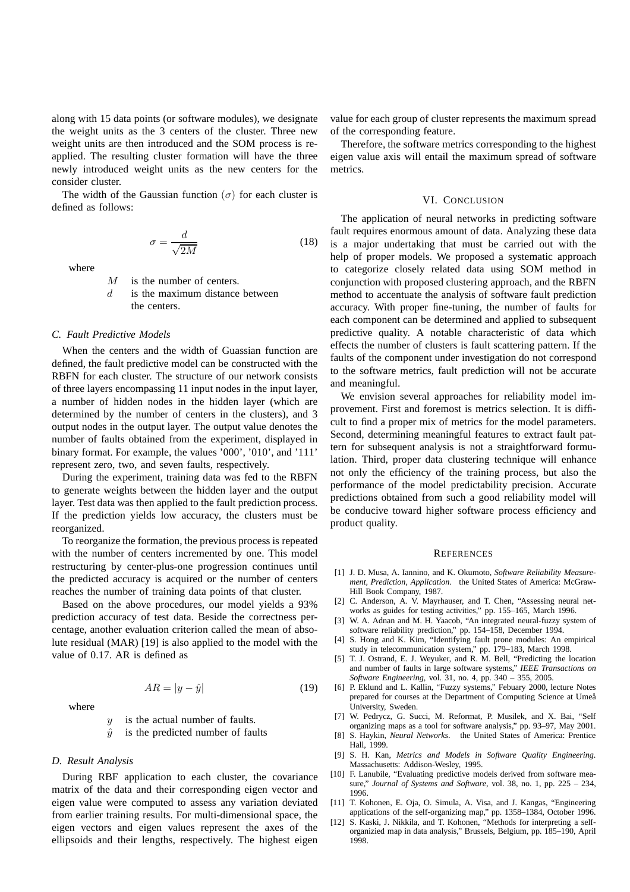along with 15 data points (or software modules), we designate the weight units as the 3 centers of the cluster. Three new weight units are then introduced and the SOM process is reapplied. The resulting cluster formation will have the three newly introduced weight units as the new centers for the consider cluster.

The width of the Gaussian function  $(\sigma)$  for each cluster is defined as follows:

$$
\sigma = \frac{d}{\sqrt{2M}}\tag{18}
$$

where

M is the number of centers.

 $d$  is the maximum distance between the centers.

## *C. Fault Predictive Models*

When the centers and the width of Guassian function are defined, the fault predictive model can be constructed with the RBFN for each cluster. The structure of our network consists of three layers encompassing 11 input nodes in the input layer, a number of hidden nodes in the hidden layer (which are determined by the number of centers in the clusters), and 3 output nodes in the output layer. The output value denotes the number of faults obtained from the experiment, displayed in binary format. For example, the values '000', '010', and '111' represent zero, two, and seven faults, respectively.

During the experiment, training data was fed to the RBFN to generate weights between the hidden layer and the output layer. Test data was then applied to the fault prediction process. If the prediction yields low accuracy, the clusters must be reorganized.

To reorganize the formation, the previous process is repeated with the number of centers incremented by one. This model restructuring by center-plus-one progression continues until the predicted accuracy is acquired or the number of centers reaches the number of training data points of that cluster.

Based on the above procedures, our model yields a 93% prediction accuracy of test data. Beside the correctness percentage, another evaluation criterion called the mean of absolute residual (MAR) [19] is also applied to the model with the value of 0.17. AR is defined as

$$
AR = |y - \hat{y}| \tag{19}
$$

where

 $y$  is the actual number of faults.

 $\hat{y}$  is the predicted number of faults

# *D. Result Analysis*

During RBF application to each cluster, the covariance matrix of the data and their corresponding eigen vector and eigen value were computed to assess any variation deviated from earlier training results. For multi-dimensional space, the eigen vectors and eigen values represent the axes of the ellipsoids and their lengths, respectively. The highest eigen value for each group of cluster represents the maximum spread of the corresponding feature.

Therefore, the software metrics corresponding to the highest eigen value axis will entail the maximum spread of software metrics.

#### VI. CONCLUSION

The application of neural networks in predicting software fault requires enormous amount of data. Analyzing these data is a major undertaking that must be carried out with the help of proper models. We proposed a systematic approach to categorize closely related data using SOM method in conjunction with proposed clustering approach, and the RBFN method to accentuate the analysis of software fault prediction accuracy. With proper fine-tuning, the number of faults for each component can be determined and applied to subsequent predictive quality. A notable characteristic of data which effects the number of clusters is fault scattering pattern. If the faults of the component under investigation do not correspond to the software metrics, fault prediction will not be accurate and meaningful.

We envision several approaches for reliability model improvement. First and foremost is metrics selection. It is difficult to find a proper mix of metrics for the model parameters. Second, determining meaningful features to extract fault pattern for subsequent analysis is not a straightforward formulation. Third, proper data clustering technique will enhance not only the efficiency of the training process, but also the performance of the model predictability precision. Accurate predictions obtained from such a good reliability model will be conducive toward higher software process efficiency and product quality.

#### **REFERENCES**

- [1] J. D. Musa, A. Iannino, and K. Okumoto, *Software Reliability Measurement, Prediction, Application*. the United States of America: McGraw-Hill Book Company, 1987.
- [2] C. Anderson, A. V. Mayrhauser, and T. Chen, "Assessing neural networks as guides for testing activities," pp. 155–165, March 1996.
- [3] W. A. Adnan and M. H. Yaacob, "An integrated neural-fuzzy system of software reliability prediction," pp. 154–158, December 1994.
- [4] S. Hong and K. Kim, "Identifying fault prone modules: An empirical study in telecommunication system," pp. 179–183, March 1998.
- [5] T. J. Ostrand, E. J. Weyuker, and R. M. Bell, "Predicting the location and number of faults in large software systems," *IEEE Transactions on Software Engineering*, vol. 31, no. 4, pp. 340 – 355, 2005.
- [6] P. Eklund and L. Kallin, "Fuzzy systems," Febuary 2000, lecture Notes prepared for courses at the Department of Computing Science at Umeå University, Sweden.
- [7] W. Pedrycz, G. Succi, M. Reformat, P. Musilek, and X. Bai, "Self organizing maps as a tool for software analysis," pp. 93–97, May 2001.
- [8] S. Haykin, *Neural Networks*. the United States of America: Prentice Hall, 1999.
- [9] S. H. Kan, *Metrics and Models in Software Quality Engineering*. Massachusetts: Addison-Wesley, 1995.
- [10] F. Lanubile, "Evaluating predictive models derived from software measure," *Journal of Systems and Software*, vol. 38, no. 1, pp. 225 – 234, 1996.
- [11] T. Kohonen, E. Oja, O. Simula, A. Visa, and J. Kangas, "Engineering applications of the self-organizing map," pp. 1358–1384, October 1996.
- [12] S. Kaski, J. Nikkila, and T. Kohonen, "Methods for interpreting a selforganizied map in data analysis," Brussels, Belgium, pp. 185–190, April 1998.